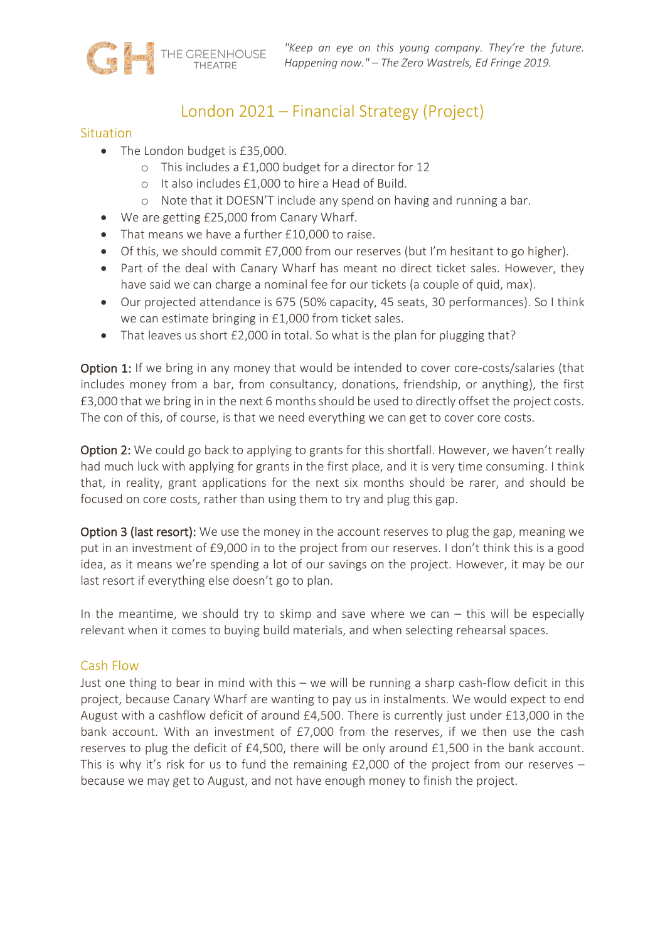

# London 2021 – Financial Strategy (Project)

## **Situation**

- The London budget is £35,000.
	- o This includes a £1,000 budget for a director for 12
	- o It also includes £1,000 to hire a Head of Build.
	- o Note that it DOESN'T include any spend on having and running a bar.
- We are getting £25,000 from Canary Wharf.
- That means we have a further £10,000 to raise.
- Of this, we should commit £7,000 from our reserves (but I'm hesitant to go higher).
- Part of the deal with Canary Wharf has meant no direct ticket sales. However, they have said we can charge a nominal fee for our tickets (a couple of quid, max).
- Our projected attendance is 675 (50% capacity, 45 seats, 30 performances). So I think we can estimate bringing in £1,000 from ticket sales.
- That leaves us short £2,000 in total. So what is the plan for plugging that?

Option 1: If we bring in any money that would be intended to cover core-costs/salaries (that includes money from a bar, from consultancy, donations, friendship, or anything), the first £3,000 that we bring in in the next 6 months should be used to directly offset the project costs. The con of this, of course, is that we need everything we can get to cover core costs.

Option 2: We could go back to applying to grants for this shortfall. However, we haven't really had much luck with applying for grants in the first place, and it is very time consuming. I think that, in reality, grant applications for the next six months should be rarer, and should be focused on core costs, rather than using them to try and plug this gap.

Option 3 (last resort): We use the money in the account reserves to plug the gap, meaning we put in an investment of £9,000 in to the project from our reserves. I don't think this is a good idea, as it means we're spending a lot of our savings on the project. However, it may be our last resort if everything else doesn't go to plan.

In the meantime, we should try to skimp and save where we can  $-$  this will be especially relevant when it comes to buying build materials, and when selecting rehearsal spaces.

## Cash Flow

Just one thing to bear in mind with this – we will be running a sharp cash-flow deficit in this project, because Canary Wharf are wanting to pay us in instalments. We would expect to end August with a cashflow deficit of around £4,500. There is currently just under £13,000 in the bank account. With an investment of £7,000 from the reserves, if we then use the cash reserves to plug the deficit of £4,500, there will be only around £1,500 in the bank account. This is why it's risk for us to fund the remaining  $£2,000$  of the project from our reserves – because we may get to August, and not have enough money to finish the project.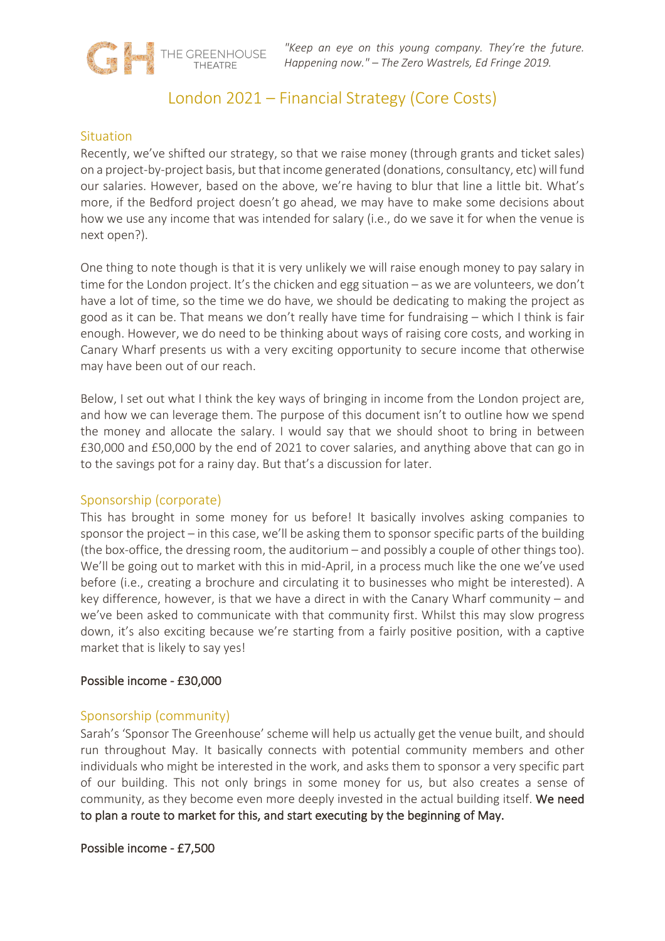*"Keep an eye on this young company. They're the future. Happening now." – The Zero Wastrels, Ed Fringe 2019.*

## London 2021 – Financial Strategy (Core Costs)

## **Situation**

THE GREENHOUSE

Recently, we've shifted our strategy, so that we raise money (through grants and ticket sales) on a project-by-project basis, but that income generated (donations, consultancy, etc) will fund our salaries. However, based on the above, we're having to blur that line a little bit. What's more, if the Bedford project doesn't go ahead, we may have to make some decisions about how we use any income that was intended for salary (i.e., do we save it for when the venue is next open?).

One thing to note though is that it is very unlikely we will raise enough money to pay salary in time for the London project. It's the chicken and egg situation – as we are volunteers, we don't have a lot of time, so the time we do have, we should be dedicating to making the project as good as it can be. That means we don't really have time for fundraising – which I think is fair enough. However, we do need to be thinking about ways of raising core costs, and working in Canary Wharf presents us with a very exciting opportunity to secure income that otherwise may have been out of our reach.

Below, I set out what I think the key ways of bringing in income from the London project are, and how we can leverage them. The purpose of this document isn't to outline how we spend the money and allocate the salary. I would say that we should shoot to bring in between £30,000 and £50,000 by the end of 2021 to cover salaries, and anything above that can go in to the savings pot for a rainy day. But that's a discussion for later.

## Sponsorship (corporate)

This has brought in some money for us before! It basically involves asking companies to sponsor the project – in this case, we'll be asking them to sponsor specific parts of the building (the box-office, the dressing room, the auditorium – and possibly a couple of other things too). We'll be going out to market with this in mid-April, in a process much like the one we've used before (i.e., creating a brochure and circulating it to businesses who might be interested). A key difference, however, is that we have a direct in with the Canary Wharf community – and we've been asked to communicate with that community first. Whilst this may slow progress down, it's also exciting because we're starting from a fairly positive position, with a captive market that is likely to say yes!

## Possible income - £30,000

## Sponsorship (community)

Sarah's 'Sponsor The Greenhouse' scheme will help us actually get the venue built, and should run throughout May. It basically connects with potential community members and other individuals who might be interested in the work, and asks them to sponsor a very specific part of our building. This not only brings in some money for us, but also creates a sense of community, as they become even more deeply invested in the actual building itself. We need to plan a route to market for this, and start executing by the beginning of May.

Possible income - £7,500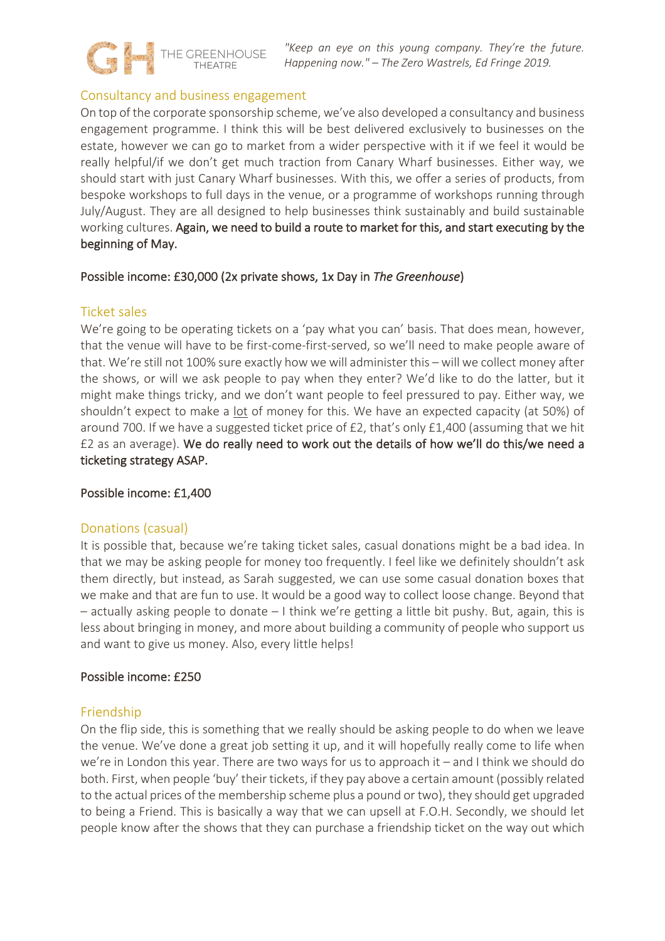

## Consultancy and business engagement

On top of the corporate sponsorship scheme, we've also developed a consultancy and business engagement programme. I think this will be best delivered exclusively to businesses on the estate, however we can go to market from a wider perspective with it if we feel it would be really helpful/if we don't get much traction from Canary Wharf businesses. Either way, we should start with just Canary Wharf businesses. With this, we offer a series of products, from bespoke workshops to full days in the venue, or a programme of workshops running through July/August. They are all designed to help businesses think sustainably and build sustainable working cultures. Again, we need to build a route to market for this, and start executing by the beginning of May.

## Possible income: £30,000 (2x private shows, 1x Day in *The Greenhouse*)

## Ticket sales

We're going to be operating tickets on a 'pay what you can' basis. That does mean, however, that the venue will have to be first-come-first-served, so we'll need to make people aware of that. We're still not 100% sure exactly how we will administer this – will we collect money after the shows, or will we ask people to pay when they enter? We'd like to do the latter, but it might make things tricky, and we don't want people to feel pressured to pay. Either way, we shouldn't expect to make a lot of money for this. We have an expected capacity (at 50%) of around 700. If we have a suggested ticket price of £2, that's only £1,400 (assuming that we hit £2 as an average). We do really need to work out the details of how we'll do this/we need a ticketing strategy ASAP.

## Possible income: £1,400

## Donations (casual)

It is possible that, because we're taking ticket sales, casual donations might be a bad idea. In that we may be asking people for money too frequently. I feel like we definitely shouldn't ask them directly, but instead, as Sarah suggested, we can use some casual donation boxes that we make and that are fun to use. It would be a good way to collect loose change. Beyond that – actually asking people to donate – I think we're getting a little bit pushy. But, again, this is less about bringing in money, and more about building a community of people who support us and want to give us money. Also, every little helps!

## Possible income: £250

## Friendship

On the flip side, this is something that we really should be asking people to do when we leave the venue. We've done a great job setting it up, and it will hopefully really come to life when we're in London this year. There are two ways for us to approach it – and I think we should do both. First, when people 'buy' their tickets, if they pay above a certain amount (possibly related to the actual prices of the membership scheme plus a pound or two), they should get upgraded to being a Friend. This is basically a way that we can upsell at F.O.H. Secondly, we should let people know after the shows that they can purchase a friendship ticket on the way out which